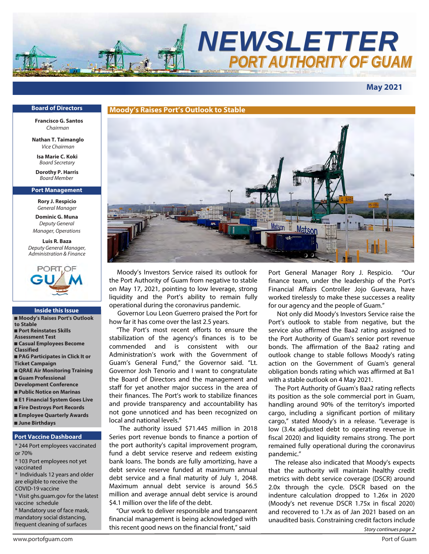

## **May 2021**

### **Board of Directors**

**sFrancisco G. Santos**  Chairman

**Nathan T. Taimanglo**  *Vice Chairman*

**Isa Marie C. Koki** *Board Secretary*

**Dorothy P. Harris** Board Member

#### **Port Management**

**Rory J. Respicio** *General Manager*

**Dominic G. Muna** *Deputy General Manager, Operations*

**Luis R. Baza** *Deputy General Manager, Administration & Finance*



#### **Inside this Issue**

- **Moody's Raises Port's Outlook to Stable** ■ **Port Reinstates Skills Assessment Test** ■ **Casual Employees Become Classified** ■ **PAG Participates in Click It or Ticket Campaign** ■ **QRAE Air Monitoring Training** ■ **Guam Professional Development Conference** ■ **Public Notice on Marinas** ■ **E1 Financial System Goes Live** ■ **Fire Destroys Port Records** ■ **Employee Quarterly Awards**
- **June Birthdays**

### **Port Vaccine Dashboard**

\* 244 Port employees vaccinated or 70%

\* 103 Port employees not yet vaccinated

\* Individuals 12 years and older are eligible to receive the COVID-19 vaccine

- \* Visit ghs.guam.gov for the latest vaccine schedule
- \* Mandatory use of face mask, mandatory social distancing, frequent cleaning of surfaces



 Moody's Investors Service raised its outlook for the Port Authority of Guam from negative to stable on May 17, 2021, pointing to low leverage, strong liquidity and the Port's ability to remain fully operational during the coronavirus pandemic.

 Governor Lou Leon Guerrero praised the Port for how far it has come over the last 2.5 years.

 "The Port's most recent efforts to ensure the stabilization of the agency's finances is to be commended and is consistent with our Administration's work with the Government of Guam's General Fund," the Governor said. "Lt. Governor Josh Tenorio and I want to congratulate the Board of Directors and the management and staff for yet another major success in the area of their finances. The Port's work to stabilize finances and provide transparency and accountability has not gone unnoticed and has been recognized on local and national levels."

 The authority issued \$71.445 million in 2018 Series port revenue bonds to finance a portion of the port authority's capital improvement program, fund a debt service reserve and redeem existing bank loans. The bonds are fully amortizing, have a debt service reserve funded at maximum annual debt service and a final maturity of July 1, 2048. Maximum annual debt service is around \$6.5 million and average annual debt service is around \$4.1 million over the life of the debt.

 "Our work to deliver responsible and transparent financial management is being acknowledged with this recent good news on the financial front," said

Port General Manager Rory J. Respicio. "Our finance team, under the leadership of the Port's Financial Affairs Controller Jojo Guevara, have worked tirelessly to make these successes a reality for our agency and the people of Guam."

 Not only did Moody's Investors Service raise the Port's outlook to stable from negative, but the service also affirmed the Baa2 rating assigned to the Port Authority of Guam's senior port revenue bonds. The affirmation of the Baa2 rating and outlook change to stable follows Moody's rating action on the Government of Guam's general obligation bonds rating which was affirmed at Ba1 with a stable outlook on 4 May 2021.

 The Port Authority of Guam's Baa2 rating reflects its position as the sole commercial port in Guam, handling around 90% of the territory's imported cargo, including a significant portion of military cargo," stated Moody's in a release. "Leverage is low (3.4x adjusted debt to operating revenue in fiscal 2020) and liquidity remains strong. The port remained fully operational during the coronavirus pandemic."

 The release also indicated that Moody's expects that the authority will maintain healthy credit metrics with debt service coverage (DSCR) around 2.0x through the cycle. DSCR based on the indenture calculation dropped to 1.26x in 2020 (Moody's net revenue DSCR 1.75x in fiscal 2020) and recovered to 1.7x as of Jan 2021 based on an unaudited basis. Constraining credit factors include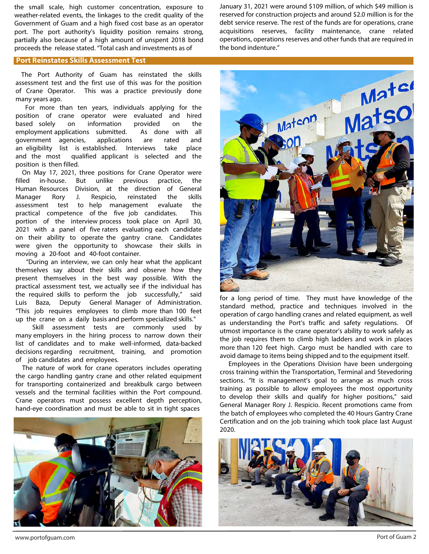the small scale, high customer concentration, exposure to weather-related events, the linkages to the credit quality of the Government of Guam and a high fixed cost base as an operator port. The port authority's liquidity position remains strong, partially also because of a high amount of unspent 2018 bond proceeds the release stated. "Total cash and investments as of

January 31, 2021 were around \$109 million, of which \$49 million is reserved for construction projects and around \$2.0 million is for the debt service reserve. The rest of the funds are for operations, crane acquisitions reserves, facility maintenance, crane related operations, operations reserves and other funds that are required in the bond indenture."

#### **Port Reinstates Skills Assessment Test**

The Port Authority of Guam has reinstated the skills assessment test and the first use of this was for the position of Crane Operator. This was a practice previously done many years ago.

For more than ten years, individuals applying for the position of crane operator were evaluated and hired based solely on information provided on the employment applications submitted. As done with all government agencies, applications are rated and an eligibility list is established. Interviews take place and the most qualified applicant is selected and the position is then filled.

On May 17, 2021, three positions for Crane Operator were filled in-house. But unlike previous practice, the Human Resources Division, at the direction of General Manager Rory J. Respicio, reinstated the skills assessment test to help management evaluate the practical competence of the five job candidates. This portion of the interview process took place on April 30, 2021 with a panel of five raters evaluating each candidate on their ability to operate the gantry crane. Candidates were given the opportunity to showcase their skills in moving a 20-foot and 40-foot container.

"During an interview, we can only hear what the applicant themselves say about their skills and observe how they present themselves in the best way possible. With the practical assessment test, we actually see if the individual has the required skills to perform the job successfully," said Luis Baza, Deputy General Manager of Administration. "This job requires employees to climb more than 100 feet up the crane on a daily basis and perform specialized skills."

Skill assessment tests are commonly used by many employers in the hiring process to narrow down their list of candidates and to make well-informed, data-backed decisions regarding recruitment, training, and promotion of job candidates and employees.

The nature of work for crane operators includes operating the cargo handling gantry crane and other related equipment for transporting containerized and breakbulk cargo between vessels and the terminal facilities within the Port compound. Crane operators must possess excellent depth perception, hand-eye coordination and must be able to sit in tight spaces





for a long period of time. They must have knowledge of the standard method, practice and techniques involved in the operation of cargo handling cranes and related equipment, as well as understanding the Port's traffic and safety regulations. Of utmost importance is the crane operator's ability to work safely as the job requires them to climb high ladders and work in places more than 120 feet high. Cargo must be handled with care to avoid damage to items being shipped and to the equipment itself.

Employees in the Operations Division have been undergoing cross training within the Transportation, Terminal and Stevedoring sections. "It is management's goal to arrange as much cross training as possible to allow employees the most opportunity to develop their skills and qualify for higher positions," said General Manager Rory J. Respicio. Recent promotions came from the batch of employees who completed the 40 Hours Gantry Crane Certification and on the job training which took place last August 2020.

![](_page_1_Picture_13.jpeg)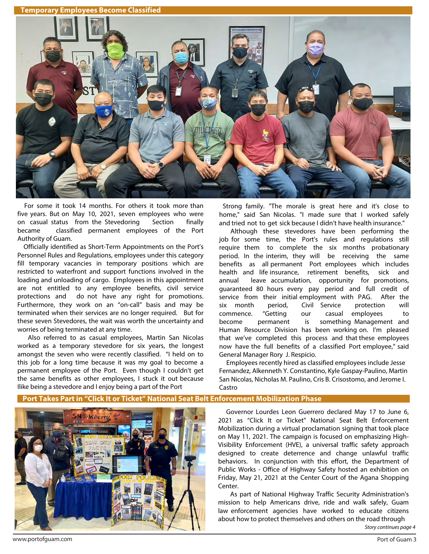**Temporary Employees Become Classified** 

![](_page_2_Picture_1.jpeg)

For some it took 14 months. For others it took more than five years. But on May 10, 2021, seven employees who were on casual status from the Stevedoring Section finally became classified permanent employees of the Port Authority of Guam.

 Officially identified as Short-Term Appointments on the Port's Personnel Rules and Regulations, employees under this category fill temporary vacancies in temporary positions which are restricted to waterfront and support functions involved in the loading and unloading of cargo. Employees in this appointment are not entitled to any employee benefits, civil service protections and do not have any right for promotions. Furthermore, they work on an "on-call" basis and may be terminated when their services are no longer required. But for these seven Stevedores, the wait was worth the uncertainty and worries of being terminated at any time.

 Also referred to as casual employees, Martin San Nicolas worked as a temporary stevedore for six years, the longest amongst the seven who were recently classified. "I held on to this job for a long time because it was my goal to become a permanent employee of the Port. Even though I couldn't get the same benefits as other employees, I stuck it out because Ilike being a stevedore and I enjoy being a part of the Port

Strong family. "The morale is great here and it's close to home," said San Nicolas. "I made sure that I worked safely and tried not to get sick because I didn't have health insurance."

Although these stevedores have been performing the job for some time, the Port's rules and regulations still require them to complete the six months probationary period. In the interim, they will be receiving the same benefits as all permanent Port employees which includes health and life insurance, retirement benefits, sick and annual leave accumulation, opportunity for promotions, guaranteed 80 hours every pay period and full credit of service from their initial employment with PAG. After the six month period, Civil Service protection will commence. "Getting our casual employees to become permanent is something Management and Human Resource Division has been working on. I'm pleased that we've completed this process and that these employees now have the full benefits of a classified Port employee," said General Manager Rory J. Respicio.

 Employees recently hired as classified employees include Jesse Fernandez, Alkenneth Y. Constantino, Kyle Gaspay-Paulino, Martin San Nicolas, Nicholas M. Paulino, Cris B. Crisostomo, and Jerome I. Castro

## **Port Takes Part in "Click It or Ticket" National Seat Belt Enforcement Mobilization Phase**

![](_page_2_Picture_9.jpeg)

 Governor Lourdes Leon Guerrero declared May 17 to June 6, 2021 as "Click It or Ticket" National Seat Belt Enforcement Mobilization during a virtual proclamation signing that took place on May 11, 2021. The campaign is focused on emphasizing High-Visibility Enforcement (HVE), a universal traffic safety approach designed to create deterrence and change unlawful traffic behaviors. In conjunction with this effort, the Department of Public Works - Office of Highway Safety hosted an exhibition on Friday, May 21, 2021 at the Center Court of the Agana Shopping Center.

As part of National Highway Traffic Security Administration's mission to help Americans drive, ride and walk safely, Guam law enforcement agencies have worked to educate citizens about how to protect themselves and others on the road through

Story continues page 4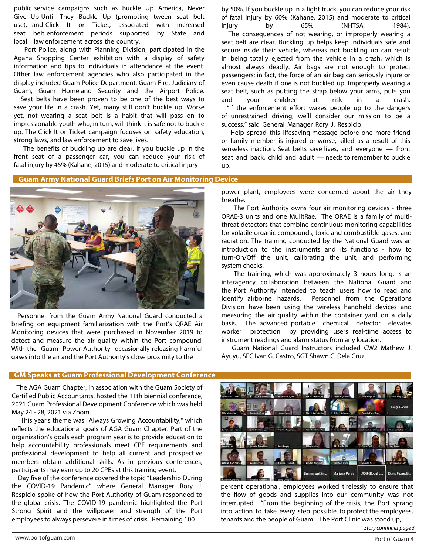public service campaigns such as Buckle Up America, Never Give Up Until They Buckle Up (promoting tween seat belt use), and Click It or Ticket, associated with increased seat belt enforcement periods supported by State and local law enforcement across the country.

 Port Police, along with Planning Division, participated in the Agana Shopping Center exhibition with a display of safety information and tips to individuals in attendance at the event. Other law enforcement agencies who also participated in the display included Guam Police Department, Guam Fire, Judiciary of Guam, Guam Homeland Security and the Airport Police.

 Seat belts have been proven to be one of the best ways to save your life in a crash. Yet, many still don't buckle up. Worse yet, not wearing a seat belt is a habit that will pass on to impressionable youth who, in turn, will think it is safe not to buckle up. The Click It or Ticket campaign focuses on safety education, strong laws, and law enforcement to save lives.

 The benefits of buckling up are clear. If you buckle up in the front seat of a passenger car, you can reduce your risk of fatal injury by 45% (Kahane, 2015) and moderate to critical injury

by 50%. If you buckle up in a light truck, you can reduce your risk of fatal injury by 60% (Kahane, 2015) and moderate to critical injury by 65% (NHTSA, 1984). The consequences of not wearing, or improperly wearing a seat belt are clear. Buckling up helps keep individuals safe and secure inside their vehicle, whereas not buckling up can result in being totally ejected from the vehicle in a crash, which is almost always deadly. Air bags are not enough to protect passengers; in fact, the force of an air bag can seriously injure or even cause death if one is not buckled up. Improperly wearing a seat belt, such as putting the strap below your arms, puts you and your children at risk in a crash. "If the enforcement effort wakes people up to the dangers of unrestrained driving, we'll consider our mission to be a success," said General Manager Rory J. Respicio.

 Help spread this lifesaving message before one more friend or family member is injured or worse, killed as a result of this senseless inaction. Seat belts save lives, and everyone — front seat and back, child and adult — needs to remember to buckle up.

## **Guam Army National Guard Briefs Port on Air Monitoring Device**

![](_page_3_Picture_7.jpeg)

 Personnel from the Guam Army National Guard conducted a briefing on equipment familiarization with the Port's QRAE Air Monitoring devices that were purchased in November 2019 to detect and measure the air quality within the Port compound. With the Guam Power Authority occasionally releasing harmful gases into the air and the Port Authority's close proximity to the

power plant, employees were concerned about the air they breathe.

 The Port Authority owns four air monitoring devices - three QRAE-3 units and one MulitRae. The QRAE is a family of multithreat detectors that combine continuous monitoring capabilities for volatile organic compounds, toxic and combustible gases, and radiation. The training conducted by the National Guard was an introduction to the instruments and its functions - how to turn-On/Off the unit, calibrating the unit, and performing system checks.

 The training, which was approximately 3 hours long, is an interagency collaboration between the National Guard and the Port Authority intended to teach users how to read and identify airborne hazards. Personnel from the Operations Division have been using the wireless handheld devices and measuring the air quality within the container yard on a daily basis. The advanced portable chemical detector elevates worker protection by providing users real-time access to instrument readings and alarm status from any location.

 Guam National Guard Instructors included CW2 Mathew J. Ayuyu, SFC Ivan G. Castro, SGT Shawn C. Dela Cruz.

## **GM Speaks at Guam Professional Development Conference**

The AGA Guam Chapter, in association with the Guam Society of Certified Public Accountants, hosted the 11th biennial conference, 2021 Guam Professional Development Conference which was held May 24 - 28, 2021 via Zoom.

 This year's theme was "Always Growing Accountability," which reflects the educational goals of AGA Guam Chapter. Part of the organization's goals each program year is to provide education to help accountability professionals meet CPE requirements and professional development to help all current and prospective members obtain additional skills. As in previous conferences, participants may earn up to 20 CPEs at this training event.

 Day five of the conference covered the topic "Leadership During the COVID-19 Pandemic" where General Manager Rory J. Respicio spoke of how the Port Authority of Guam responded to the global crisis. The COVID-19 pandemic highlighted the Port Strong Spirit and the willpower and strength of the Port employees to always persevere in times of crisis. Remaining 100

![](_page_3_Picture_17.jpeg)

percent operational, employees worked tirelessly to ensure that the flow of goods and supplies into our community was not interrupted. "From the beginning of the crisis, the Port sprang into action to take every step possible to protect the employees, tenants and the people of Guam. The Port Clinic was stood up,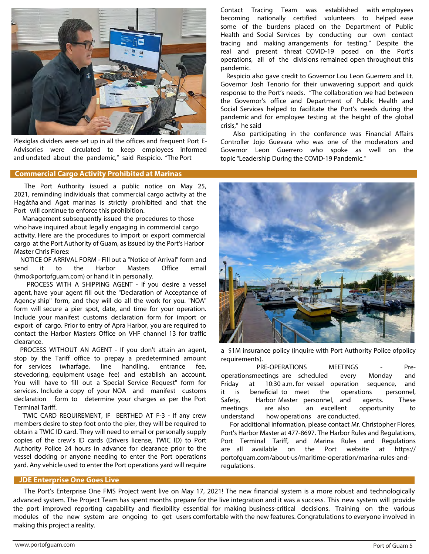![](_page_4_Picture_0.jpeg)

Plexiglas dividers were set up in all the offices and frequent Port E-Advisories were circulated to keep employees informed and undated about the pandemic," said Respicio. "The Port

## **Commercial Cargo Activity Prohibited at Marinas**

The Port Authority issued a public notice on May 25, 2021, reminding individuals that commercial cargo activity at the Hagåtña and Agat marinas is strictly prohibited and that the Port will continue to enforce this prohibition.

Management subsequently issued the procedures to those who have inquired about legally engaging in commercial cargo activity. Here are the procedures to import or export commercial cargo at the Port Authority of Guam, as issued by the Port's Harbor Master Chris Flores:

 NOTICE OF ARRIVAL FORM - Fill out a "Notice of Arrival" form and send it to the Harbor Masters Office email (hmo@portofguam.com) or hand it in personally.

PROCESS WITH A SHIPPING AGENT - If you desire a vessel agent, have your agent fill out the "Declaration of Acceptance of Agency ship" form, and they will do all the work for you. "NOA" form will secure a pier spot, date, and time for your operation. Include your manifest customs declaration form for import or export of cargo. Prior to entry of Apra Harbor, you are required to contact the Harbor Masters Office on VHF channel 13 for traffic clearance.

PROCESS WITHOUT AN AGENT - If you don't attain an agent, stop by the Tariff office to prepay a predetermined amount for services (wharfage, line handling, entrance fee, stevedoring, equipment usage fee) and establish an account. You will have to fill out a 'Special Service Request" form for services. Include a copy of your NOA and manifest customs declaration form to determine your charges as per the Port Terminal Tariff.

 TWIC CARD REQUIREMENT, IF BERTHED AT F-3 - If any crew members desire to step foot onto the pier, they will be required to obtain a TWIC ID card. They will need to email or personally supply copies of the crew's ID cards (Drivers license, TWIC ID) to Port Authority Police 24 hours in advance for clearance prior to the vessel docking or anyone needing to enter the Port operations yard. Any vehicle used to enter the Port operations yard will require Contact Tracing Team was established with employees becoming nationally certified volunteers to helped ease some of the burdens placed on the Department of Public Health and Social Services by conducting our own contact tracing and making arrangements for testing." Despite the real and present threat COVID-19 posed on the Port's operations, all of the divisions remained open throughout this pandemic.

Respicio also gave credit to Governor Lou Leon Guerrero and Lt. Governor Josh Tenorio for their unwavering support and quick response to the Port's needs. "The collaboration we had between the Governor's office and Department of Public Health and Social Services helped to facilitate the Port's needs during the pandemic and for employee testing at the height of the global crisis," he said

Also participating in the conference was Financial Affairs Controller Jojo Guevara who was one of the moderators and Governor Leon Guerrero who spoke as well on the topic "Leadership During the COVID-19 Pandemic."

![](_page_4_Picture_12.jpeg)

a \$1M insurance policy (inquire with Port Authority Police ofpolicy requirements).

PRE-OPERATIONS MEETINGS - Preoperationsmeetings are scheduled every Monday and Friday at 10:30 a.m. for vessel operation sequence, and it is beneficial to meet the operations personnel, Safety, Harbor Master personnel, and agents. These meetings are also an excellent opportunity to understand how operations are conducted.

 For additional information, please contact Mr. Christopher Flores, Port's Harbor Master at 477-8697. The Harbor Rules and Regulations, Port Terminal Tariff, and Marina Rules and Regulations are all available on the Port website at https:// portofguam.com/about-us/maritime-operation/marina-rules-andregulations.

#### **JDE Enterprise One Goes Live**

 The Port's Enterprise One FMS Project went live on May 17, 2021! The new financial system is a more robust and technologically advanced system. The Project Team has spent months prepare for the live integration and it was a success. This new system will provide the port improved reporting capability and flexibility essential for making business-critical decisions. Training on the various modules of the new system are ongoing to get users comfortable with the new features. Congratulations to everyone involved in making this project a reality.